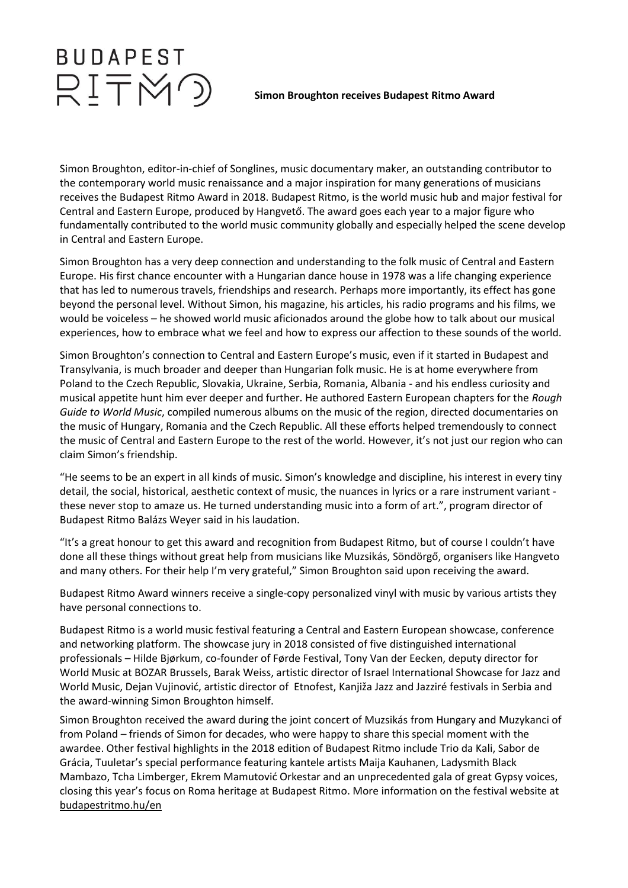## **BUDAPEST** RITMO

## **Simon Broughton receives Budapest Ritmo Award**

Simon Broughton, editor-in-chief of Songlines, music documentary maker, an outstanding contributor to the contemporary world music renaissance and a major inspiration for many generations of musicians receives the Budapest Ritmo Award in 2018. Budapest Ritmo, is the world music hub and major festival for Central and Eastern Europe, produced by Hangvető. The award goes each year to a major figure who fundamentally contributed to the world music community globally and especially helped the scene develop in Central and Eastern Europe.

Simon Broughton has a very deep connection and understanding to the folk music of Central and Eastern Europe. His first chance encounter with a Hungarian dance house in 1978 was a life changing experience that has led to numerous travels, friendships and research. Perhaps more importantly, its effect has gone beyond the personal level. Without Simon, his magazine, his articles, his radio programs and his films, we would be voiceless – he showed world music aficionados around the globe how to talk about our musical experiences, how to embrace what we feel and how to express our affection to these sounds of the world.

Simon Broughton's connection to Central and Eastern Europe's music, even if it started in Budapest and Transylvania, is much broader and deeper than Hungarian folk music. He is at home everywhere from Poland to the Czech Republic, Slovakia, Ukraine, Serbia, Romania, Albania - and his endless curiosity and musical appetite hunt him ever deeper and further. He authored Eastern European chapters for the *Rough Guide to World Music*, compiled numerous albums on the music of the region, directed documentaries on the music of Hungary, Romania and the Czech Republic. All these efforts helped tremendously to connect the music of Central and Eastern Europe to the rest of the world. However, it's not just our region who can claim Simon's friendship.

"He seems to be an expert in all kinds of music. Simon's knowledge and discipline, his interest in every tiny detail, the social, historical, aesthetic context of music, the nuances in lyrics or a rare instrument variant these never stop to amaze us. He turned understanding music into a form of art.", program director of Budapest Ritmo Balázs Weyer said in his laudation.

"It's a great honour to get this award and recognition from Budapest Ritmo, but of course I couldn't have done all these things without great help from musicians like Muzsikás, Söndörgő, organisers like Hangveto and many others. For their help I'm very grateful," Simon Broughton said upon receiving the award.

Budapest Ritmo Award winners receive a single-copy personalized vinyl with music by various artists they have personal connections to.

Budapest Ritmo is a world music festival featuring a Central and Eastern European showcase, conference and networking platform. The showcase jury in 2018 consisted of five distinguished international professionals – Hilde Bjørkum, co-founder of Førde Festival, Tony Van der Eecken, deputy director for World Music at BOZAR Brussels, Barak Weiss, artistic director of Israel International Showcase for Jazz and World Music, Dejan Vujinović, artistic director of Etnofest, Kanjiža Jazz and Jazziré festivals in Serbia and the award-winning Simon Broughton himself.

Simon Broughton received the award during the joint concert of Muzsikás from Hungary and Muzykanci of from Poland – friends of Simon for decades, who were happy to share this special moment with the awardee. Other festival highlights in the 2018 edition of Budapest Ritmo include Trio da Kali, Sabor de Grácia, Tuuletar's special performance featuring kantele artists Maija Kauhanen, Ladysmith Black Mambazo, Tcha Limberger, Ekrem Mamutović Orkestar and an unprecedented gala of great Gypsy voices, closing this year's focus on Roma heritage at Budapest Ritmo. More information on the festival website at [budapestritmo.hu/en](http://budapestritmo.hu/en)